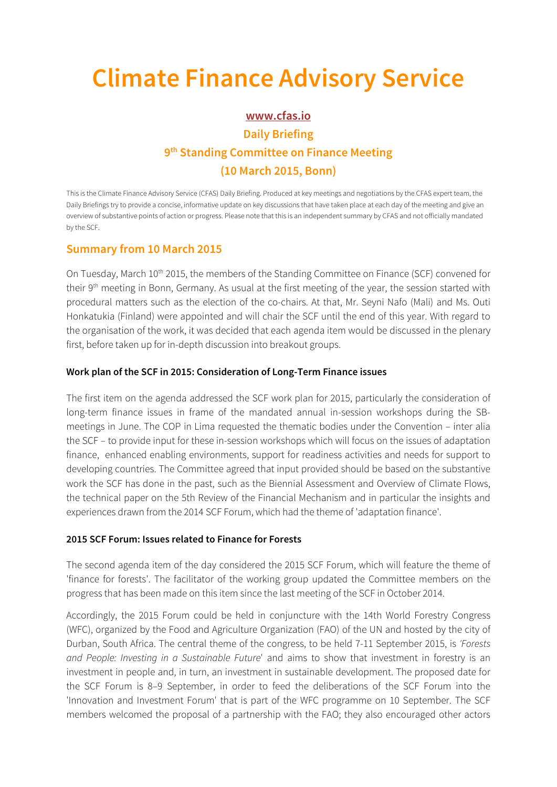# **Climate Finance Advisory Service**

## **www.cfas.io Daily Briefing 9th Standing Committee on Finance Meeting (10 March 2015, Bonn)**

This is the Climate Finance Advisory Service (CFAS) Daily Briefing. Produced at key meetings and negotiations by the CFAS expert team, the Daily Briefings try to provide a concise, informative update on key discussions that have taken place at each day of the meeting and give an overview of substantive points of action or progress. Please note that this is an independent summary by CFAS and not officially mandated by the SCF.

### **Summary from 10 March 2015**

On Tuesday, March 10<sup>th</sup> 2015, the members of the Standing Committee on Finance (SCF) convened for their 9<sup>th</sup> meeting in Bonn, Germany. As usual at the first meeting of the year, the session started with procedural matters such as the election of the co-chairs. At that, Mr. Seyni Nafo (Mali) and Ms. Outi Honkatukia (Finland) were appointed and will chair the SCF until the end of this year. With regard to the organisation of the work, it was decided that each agenda item would be discussed in the plenary first, before taken up for in-depth discussion into breakout groups.

#### **Work plan of the SCF in 2015: Consideration of Long-Term Finance issues**

The first item on the agenda addressed the SCF work plan for 2015, particularly the consideration of long-term finance issues in frame of the mandated annual in-session workshops during the SBmeetings in June. The COP in Lima requested the thematic bodies under the Convention – inter alia the SCF – to provide input for these in-session workshops which will focus on the issues of adaptation finance, enhanced enabling environments, support for readiness activities and needs for support to developing countries. The Committee agreed that input provided should be based on the substantive work the SCF has done in the past, such as the Biennial Assessment and Overview of Climate Flows, the technical paper on the 5th Review of the Financial Mechanism and in particular the insights and experiences drawn from the 2014 SCF Forum, which had the theme of 'adaptation finance'.

#### **2015 SCF Forum: Issues related to Finance for Forests**

The second agenda item of the day considered the 2015 SCF Forum, which will feature the theme of 'finance for forests'. The facilitator of the working group updated the Committee members on the progress that has been made on this item since the last meeting of the SCF in October 2014.

Accordingly, the 2015 Forum could be held in conjuncture with the 14th World Forestry Congress (WFC), organized by the Food and Agriculture Organization (FAO) of the UN and hosted by the city of Durban, South Africa. The central theme of the congress, to be held 7-11 September 2015, is 'Forests and People: Investing in a Sustainable Future' and aims to show that investment in forestry is an investment in people and, in turn, an investment in sustainable development. The proposed date for the SCF Forum is 8–9 September, in order to feed the deliberations of the SCF Forum into the 'Innovation and Investment Forum' that is part of the WFC programme on 10 September. The SCF members welcomed the proposal of a partnership with the FAO; they also encouraged other actors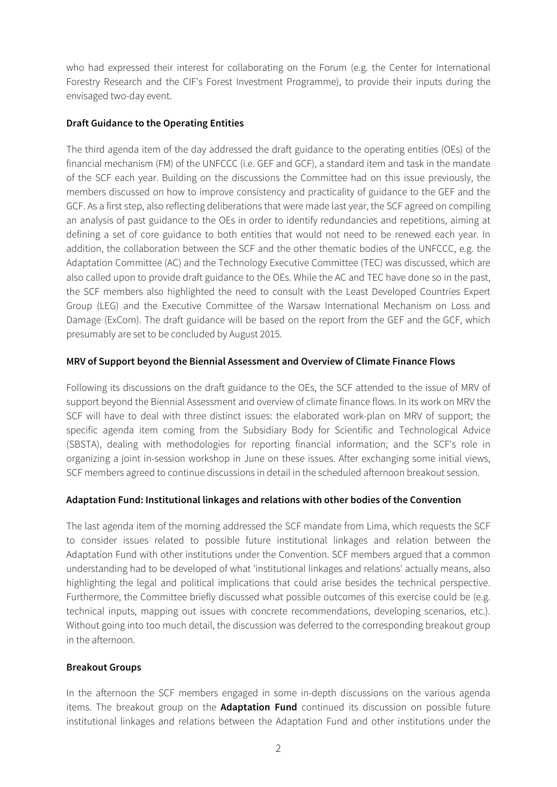who had expressed their interest for collaborating on the Forum (e.g. the Center for International Forestry Research and the CIF's Forest Investment Programme), to provide their inputs during the envisaged two-day event.

#### **Draft Guidance to the Operating Entities**

The third agenda item of the day addressed the draft guidance to the operating entities (OEs) of the financial mechanism (FM) of the UNFCCC (i.e. GEF and GCF), a standard item and task in the mandate of the SCF each year. Building on the discussions the Committee had on this issue previously, the members discussed on how to improve consistency and practicality of guidance to the GEF and the GCF. As a first step, also reflecting deliberations that were made last year, the SCF agreed on compiling an analysis of past guidance to the OEs in order to identify redundancies and repetitions, aiming at defining a set of core guidance to both entities that would not need to be renewed each year. In addition, the collaboration between the SCF and the other thematic bodies of the UNFCCC, e.g. the Adaptation Committee (AC) and the Technology Executive Committee (TEC) was discussed, which are also called upon to provide draft guidance to the OEs. While the AC and TEC have done so in the past, the SCF members also highlighted the need to consult with the Least Developed Countries Expert Group (LEG) and the Executive Committee of the Warsaw International Mechanism on Loss and Damage (ExCom). The draft guidance will be based on the report from the GEF and the GCF, which presumably are set to be concluded by August 2015.

#### **MRV of Support beyond the Biennial Assessment and Overview of Climate Finance Flows**

Following its discussions on the draft guidance to the OEs, the SCF attended to the issue of MRV of support beyond the Biennial Assessment and overview of climate finance flows. In its work on MRV the SCF will have to deal with three distinct issues: the elaborated work-plan on MRV of support; the specific agenda item coming from the Subsidiary Body for Scientific and Technological Advice (SBSTA), dealing with methodologies for reporting financial information; and the SCF's role in organizing a joint in-session workshop in June on these issues. After exchanging some initial views, SCF members agreed to continue discussions in detail in the scheduled afternoon breakout session.

#### **Adaptation Fund: Institutional linkages and relations with other bodies of the Convention**

The last agenda item of the morning addressed the SCF mandate from Lima, which requests the SCF to consider issues related to possible future institutional linkages and relation between the Adaptation Fund with other institutions under the Convention. SCF members argued that a common understanding had to be developed of what 'institutional linkages and relations' actually means, also highlighting the legal and political implications that could arise besides the technical perspective. Furthermore, the Committee briefly discussed what possible outcomes of this exercise could be (e.g. technical inputs, mapping out issues with concrete recommendations, developing scenarios, etc.). Without going into too much detail, the discussion was deferred to the corresponding breakout group in the afternoon.

#### **Breakout Groups**

In the afternoon the SCF members engaged in some in-depth discussions on the various agenda items. The breakout group on the **Adaptation Fund** continued its discussion on possible future institutional linkages and relations between the Adaptation Fund and other institutions under the